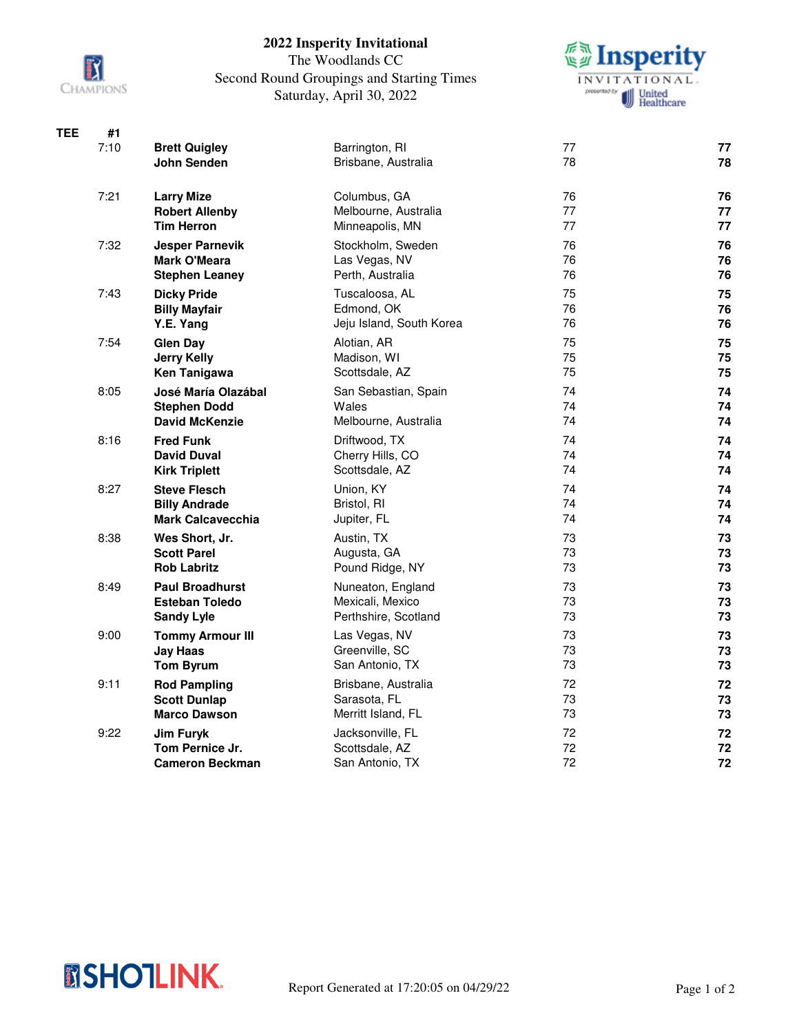

## **2022 Insperity Invitational**

## The Woodlands CC Second Round Groupings and Starting Times Saturday, April 30, 2022



| <b>TEE</b> | #1   |                                              |                                         |          |          |
|------------|------|----------------------------------------------|-----------------------------------------|----------|----------|
|            | 7:10 | <b>Brett Quigley</b>                         | Barrington, RI                          | 77       | 77       |
|            |      | John Senden                                  | Brisbane, Australia                     | 78       | 78       |
|            | 7:21 | <b>Larry Mize</b>                            | Columbus, GA                            | 76       | 76       |
|            |      | <b>Robert Allenby</b><br><b>Tim Herron</b>   | Melbourne, Australia<br>Minneapolis, MN | 77<br>77 | 77<br>77 |
|            | 7:32 | <b>Jesper Parnevik</b>                       | Stockholm, Sweden                       | 76       | 76       |
|            |      | <b>Mark O'Meara</b><br><b>Stephen Leaney</b> | Las Vegas, NV<br>Perth, Australia       | 76<br>76 | 76<br>76 |
|            | 7:43 | <b>Dicky Pride</b>                           | Tuscaloosa, AL                          | 75       | 75       |
|            |      | <b>Billy Mayfair</b>                         | Edmond, OK                              | 76       | 76       |
|            |      | Y.E. Yang                                    | Jeju Island, South Korea                | 76       | 76       |
|            | 7:54 | <b>Glen Day</b><br><b>Jerry Kelly</b>        | Alotian, AR<br>Madison, WI              | 75<br>75 | 75<br>75 |
|            |      | Ken Tanigawa                                 | Scottsdale, AZ                          | 75       | 75       |
|            | 8:05 | José María Olazábal                          | San Sebastian, Spain                    | 74       | 74       |
|            |      | <b>Stephen Dodd</b>                          | Wales                                   | 74       | 74       |
|            |      | <b>David McKenzie</b>                        | Melbourne, Australia                    | 74       | 74       |
|            | 8:16 | <b>Fred Funk</b>                             | Driftwood, TX                           | 74       | 74       |
|            |      | <b>David Duval</b><br><b>Kirk Triplett</b>   | Cherry Hills, CO<br>Scottsdale, AZ      | 74<br>74 | 74<br>74 |
|            | 8:27 | <b>Steve Flesch</b>                          | Union, KY                               | 74       | 74       |
|            |      | <b>Billy Andrade</b>                         | Bristol, RI                             | 74       | 74       |
|            |      | <b>Mark Calcavecchia</b>                     | Jupiter, FL                             | 74       | 74       |
|            | 8:38 | Wes Short, Jr.<br><b>Scott Parel</b>         | Austin, TX<br>Augusta, GA               | 73<br>73 | 73<br>73 |
|            |      | <b>Rob Labritz</b>                           | Pound Ridge, NY                         | 73       | 73       |
|            | 8:49 | <b>Paul Broadhurst</b>                       | Nuneaton, England                       | 73       | 73       |
|            |      | <b>Esteban Toledo</b>                        | Mexicali, Mexico                        | 73       | 73       |
|            |      | <b>Sandy Lyle</b>                            | Perthshire, Scotland                    | 73       | 73       |
|            | 9:00 | <b>Tommy Armour III</b>                      | Las Vegas, NV                           | 73       | 73       |
|            |      | <b>Jay Haas</b><br><b>Tom Byrum</b>          | Greenville, SC<br>San Antonio, TX       | 73<br>73 | 73<br>73 |
|            | 9:11 | <b>Rod Pampling</b>                          | Brisbane, Australia                     | 72       | 72       |
|            |      | <b>Scott Dunlap</b>                          | Sarasota, FL                            | 73       | 73       |
|            |      | <b>Marco Dawson</b>                          | Merritt Island, FL                      | 73       | 73       |
|            | 9:22 | Jim Furyk                                    | Jacksonville, FL                        | 72       | 72       |
|            |      | Tom Pernice Jr.                              | Scottsdale, AZ                          | 72       | 72       |
|            |      | <b>Cameron Beckman</b>                       | San Antonio, TX                         | 72       | 72       |